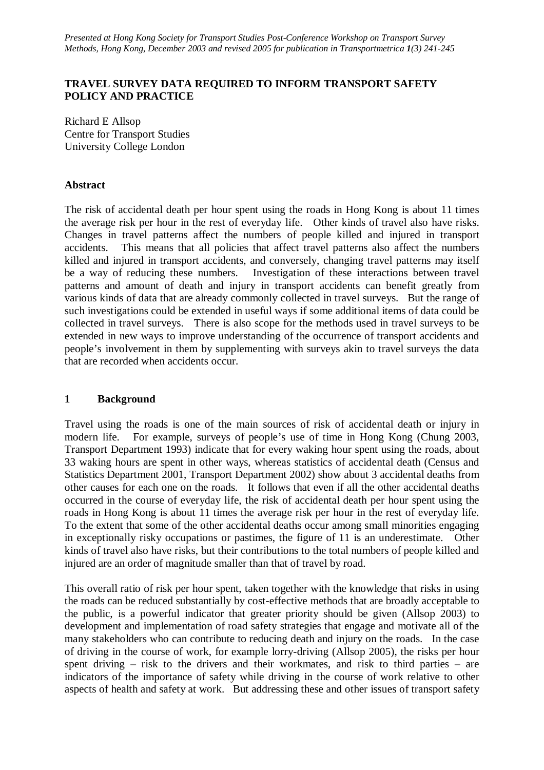*Presented at Hong Kong Society for Transport Studies Post-Conference Workshop on Transport Survey Methods, Hong Kong, December 2003 and revised 2005 for publication in Transportmetrica 1(3) 241-245* 

### **TRAVEL SURVEY DATA REQUIRED TO INFORM TRANSPORT SAFETY POLICY AND PRACTICE**

Richard E Allsop Centre for Transport Studies University College London

### **Abstract**

The risk of accidental death per hour spent using the roads in Hong Kong is about 11 times the average risk per hour in the rest of everyday life. Other kinds of travel also have risks. Changes in travel patterns affect the numbers of people killed and injured in transport accidents. This means that all policies that affect travel patterns also affect the numbers killed and injured in transport accidents, and conversely, changing travel patterns may itself be a way of reducing these numbers. Investigation of these interactions between travel patterns and amount of death and injury in transport accidents can benefit greatly from various kinds of data that are already commonly collected in travel surveys. But the range of such investigations could be extended in useful ways if some additional items of data could be collected in travel surveys. There is also scope for the methods used in travel surveys to be extended in new ways to improve understanding of the occurrence of transport accidents and people's involvement in them by supplementing with surveys akin to travel surveys the data that are recorded when accidents occur.

#### **1 Background**

Travel using the roads is one of the main sources of risk of accidental death or injury in modern life. For example, surveys of people's use of time in Hong Kong (Chung 2003, Transport Department 1993) indicate that for every waking hour spent using the roads, about 33 waking hours are spent in other ways, whereas statistics of accidental death (Census and Statistics Department 2001, Transport Department 2002) show about 3 accidental deaths from other causes for each one on the roads. It follows that even if all the other accidental deaths occurred in the course of everyday life, the risk of accidental death per hour spent using the roads in Hong Kong is about 11 times the average risk per hour in the rest of everyday life. To the extent that some of the other accidental deaths occur among small minorities engaging in exceptionally risky occupations or pastimes, the figure of 11 is an underestimate. Other kinds of travel also have risks, but their contributions to the total numbers of people killed and injured are an order of magnitude smaller than that of travel by road.

This overall ratio of risk per hour spent, taken together with the knowledge that risks in using the roads can be reduced substantially by cost-effective methods that are broadly acceptable to the public, is a powerful indicator that greater priority should be given (Allsop 2003) to development and implementation of road safety strategies that engage and motivate all of the many stakeholders who can contribute to reducing death and injury on the roads. In the case of driving in the course of work, for example lorry-driving (Allsop 2005), the risks per hour spent driving – risk to the drivers and their workmates, and risk to third parties – are indicators of the importance of safety while driving in the course of work relative to other aspects of health and safety at work. But addressing these and other issues of transport safety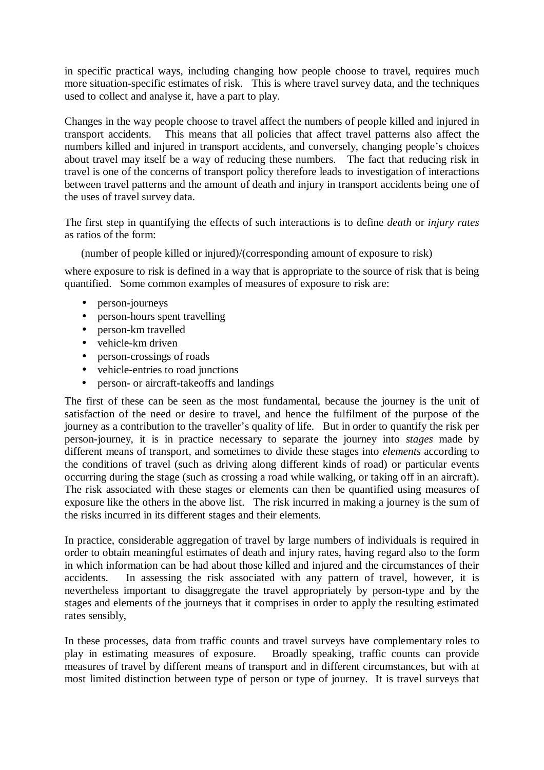in specific practical ways, including changing how people choose to travel, requires much more situation-specific estimates of risk. This is where travel survey data, and the techniques used to collect and analyse it, have a part to play.

Changes in the way people choose to travel affect the numbers of people killed and injured in transport accidents. This means that all policies that affect travel patterns also affect the numbers killed and injured in transport accidents, and conversely, changing people's choices about travel may itself be a way of reducing these numbers. The fact that reducing risk in travel is one of the concerns of transport policy therefore leads to investigation of interactions between travel patterns and the amount of death and injury in transport accidents being one of the uses of travel survey data.

The first step in quantifying the effects of such interactions is to define *death* or *injury rates* as ratios of the form:

(number of people killed or injured)/(corresponding amount of exposure to risk)

where exposure to risk is defined in a way that is appropriate to the source of risk that is being quantified. Some common examples of measures of exposure to risk are:

- person-journeys
- person-hours spent travelling
- person-km travelled
- vehicle-km driven
- person-crossings of roads
- vehicle-entries to road junctions
- person- or aircraft-takeoffs and landings

The first of these can be seen as the most fundamental, because the journey is the unit of satisfaction of the need or desire to travel, and hence the fulfilment of the purpose of the journey as a contribution to the traveller's quality of life. But in order to quantify the risk per person-journey, it is in practice necessary to separate the journey into *stages* made by different means of transport, and sometimes to divide these stages into *elements* according to the conditions of travel (such as driving along different kinds of road) or particular events occurring during the stage (such as crossing a road while walking, or taking off in an aircraft). The risk associated with these stages or elements can then be quantified using measures of exposure like the others in the above list. The risk incurred in making a journey is the sum of the risks incurred in its different stages and their elements.

In practice, considerable aggregation of travel by large numbers of individuals is required in order to obtain meaningful estimates of death and injury rates, having regard also to the form in which information can be had about those killed and injured and the circumstances of their accidents. In assessing the risk associated with any pattern of travel, however, it is nevertheless important to disaggregate the travel appropriately by person-type and by the stages and elements of the journeys that it comprises in order to apply the resulting estimated rates sensibly,

In these processes, data from traffic counts and travel surveys have complementary roles to play in estimating measures of exposure. Broadly speaking, traffic counts can provide measures of travel by different means of transport and in different circumstances, but with at most limited distinction between type of person or type of journey. It is travel surveys that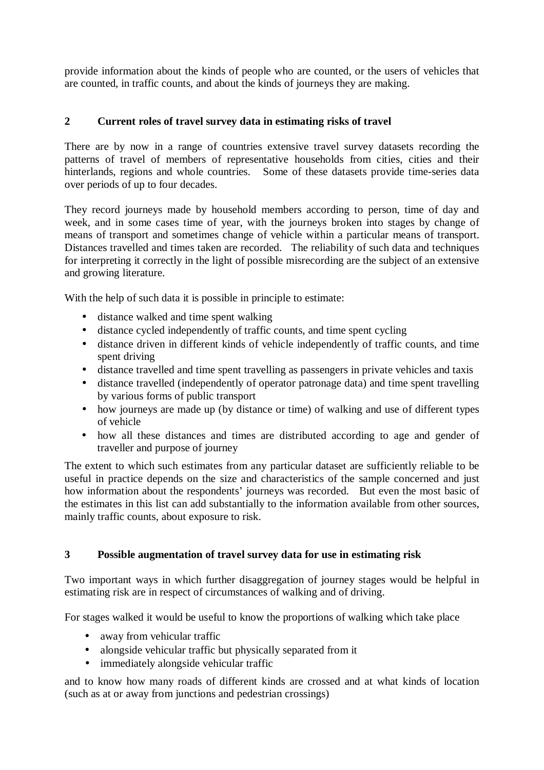provide information about the kinds of people who are counted, or the users of vehicles that are counted, in traffic counts, and about the kinds of journeys they are making.

# **2 Current roles of travel survey data in estimating risks of travel**

There are by now in a range of countries extensive travel survey datasets recording the patterns of travel of members of representative households from cities, cities and their hinterlands, regions and whole countries. Some of these datasets provide time-series data over periods of up to four decades.

They record journeys made by household members according to person, time of day and week, and in some cases time of year, with the journeys broken into stages by change of means of transport and sometimes change of vehicle within a particular means of transport. Distances travelled and times taken are recorded. The reliability of such data and techniques for interpreting it correctly in the light of possible misrecording are the subject of an extensive and growing literature.

With the help of such data it is possible in principle to estimate:

- distance walked and time spent walking
- distance cycled independently of traffic counts, and time spent cycling
- distance driven in different kinds of vehicle independently of traffic counts, and time spent driving
- distance travelled and time spent travelling as passengers in private vehicles and taxis
- distance travelled (independently of operator patronage data) and time spent travelling by various forms of public transport
- how journeys are made up (by distance or time) of walking and use of different types of vehicle
- how all these distances and times are distributed according to age and gender of traveller and purpose of journey

The extent to which such estimates from any particular dataset are sufficiently reliable to be useful in practice depends on the size and characteristics of the sample concerned and just how information about the respondents' journeys was recorded. But even the most basic of the estimates in this list can add substantially to the information available from other sources, mainly traffic counts, about exposure to risk.

# **3 Possible augmentation of travel survey data for use in estimating risk**

Two important ways in which further disaggregation of journey stages would be helpful in estimating risk are in respect of circumstances of walking and of driving.

For stages walked it would be useful to know the proportions of walking which take place

- away from vehicular traffic
- alongside vehicular traffic but physically separated from it
- immediately alongside vehicular traffic

and to know how many roads of different kinds are crossed and at what kinds of location (such as at or away from junctions and pedestrian crossings)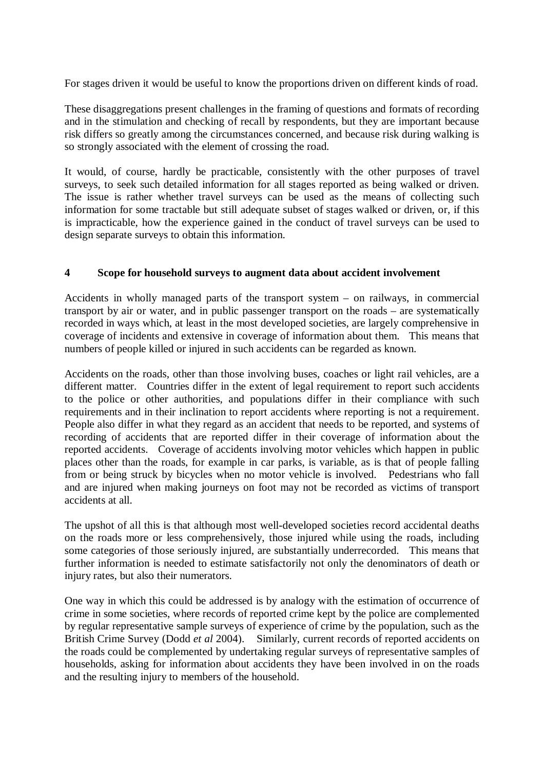For stages driven it would be useful to know the proportions driven on different kinds of road.

These disaggregations present challenges in the framing of questions and formats of recording and in the stimulation and checking of recall by respondents, but they are important because risk differs so greatly among the circumstances concerned, and because risk during walking is so strongly associated with the element of crossing the road.

It would, of course, hardly be practicable, consistently with the other purposes of travel surveys, to seek such detailed information for all stages reported as being walked or driven. The issue is rather whether travel surveys can be used as the means of collecting such information for some tractable but still adequate subset of stages walked or driven, or, if this is impracticable, how the experience gained in the conduct of travel surveys can be used to design separate surveys to obtain this information.

## **4 Scope for household surveys to augment data about accident involvement**

Accidents in wholly managed parts of the transport system – on railways, in commercial transport by air or water, and in public passenger transport on the roads – are systematically recorded in ways which, at least in the most developed societies, are largely comprehensive in coverage of incidents and extensive in coverage of information about them. This means that numbers of people killed or injured in such accidents can be regarded as known.

Accidents on the roads, other than those involving buses, coaches or light rail vehicles, are a different matter. Countries differ in the extent of legal requirement to report such accidents to the police or other authorities, and populations differ in their compliance with such requirements and in their inclination to report accidents where reporting is not a requirement. People also differ in what they regard as an accident that needs to be reported, and systems of recording of accidents that are reported differ in their coverage of information about the reported accidents. Coverage of accidents involving motor vehicles which happen in public places other than the roads, for example in car parks, is variable, as is that of people falling from or being struck by bicycles when no motor vehicle is involved. Pedestrians who fall and are injured when making journeys on foot may not be recorded as victims of transport accidents at all.

The upshot of all this is that although most well-developed societies record accidental deaths on the roads more or less comprehensively, those injured while using the roads, including some categories of those seriously injured, are substantially underrecorded. This means that further information is needed to estimate satisfactorily not only the denominators of death or injury rates, but also their numerators.

One way in which this could be addressed is by analogy with the estimation of occurrence of crime in some societies, where records of reported crime kept by the police are complemented by regular representative sample surveys of experience of crime by the population, such as the British Crime Survey (Dodd *et al* 2004). Similarly, current records of reported accidents on the roads could be complemented by undertaking regular surveys of representative samples of households, asking for information about accidents they have been involved in on the roads and the resulting injury to members of the household.